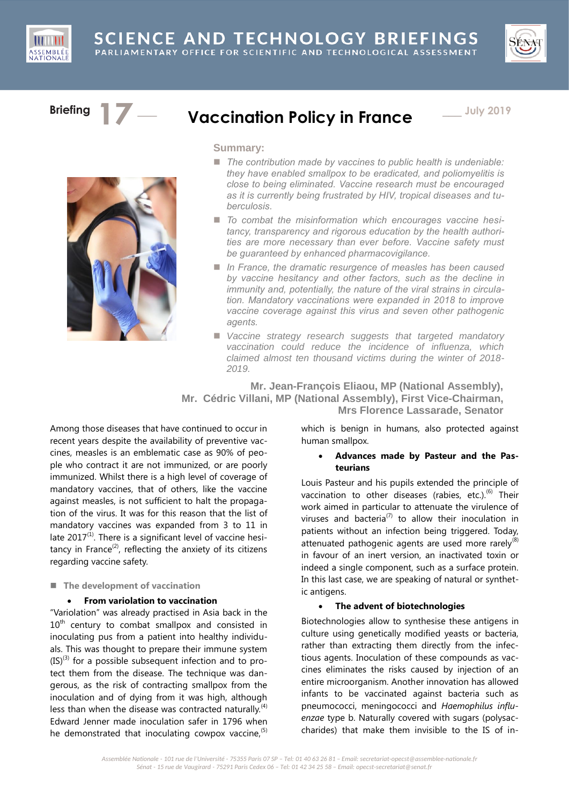



# **Briefing 17**

# Vaccination Policy in France  $\qquad -$  July 2019



**Summary:**

- *The contribution made by vaccines to public health is undeniable: they have enabled smallpox to be eradicated, and poliomyelitis is close to being eliminated. Vaccine research must be encouraged as it is currently being frustrated by HIV, tropical diseases and tuberculosis.*
- *To combat the misinformation which encourages vaccine hesitancy, transparency and rigorous education by the health authorities are more necessary than ever before. Vaccine safety must be guaranteed by enhanced pharmacovigilance.*
- In France, the dramatic resurgence of measles has been caused *by vaccine hesitancy and other factors, such as the decline in immunity and, potentially, the nature of the viral strains in circulation. Mandatory vaccinations were expanded in 2018 to improve vaccine coverage against this virus and seven other pathogenic agents.*
- *Vaccine strategy research suggests that targeted mandatory vaccination could reduce the incidence of influenza, which claimed almost ten thousand victims during the winter of 2018- 2019.*

**Mr. Jean-François Eliaou, MP (National Assembly), Mr. Cédric Villani, MP (National Assembly), First Vice-Chairman, Mrs Florence Lassarade, Senator**

Among those diseases that have continued to occur in recent years despite the availability of preventive vaccines, measles is an emblematic case as 90% of people who contract it are not immunized, or are poorly immunized. Whilst there is a high level of coverage of mandatory vaccines, that of others, like the vaccine against measles, is not sufficient to halt the propagation of the virus. It was for this reason that the list of mandatory vaccines was expanded from 3 to 11 in late  $2017^{(1)}$ . There is a significant level of vaccine hesitancy in France<sup>(2)</sup>, reflecting the anxiety of its citizens regarding vaccine safety.

# ■ The development of vaccination

# **From variolation to vaccination**

"Variolation" was already practised in Asia back in the  $10<sup>th</sup>$  century to combat smallpox and consisted in inoculating pus from a patient into healthy individuals. This was thought to prepare their immune system  $(IS)^{(3)}$  for a possible subsequent infection and to protect them from the disease. The technique was dangerous, as the risk of contracting smallpox from the inoculation and of dying from it was high, although less than when the disease was contracted naturally.<sup>(4)</sup> Edward Jenner made inoculation safer in 1796 when he demonstrated that inoculating cowpox vaccine, $(5)$ 

which is benign in humans, also protected against human smallpox.

# **Advances made by Pasteur and the Pasteurians**

Louis Pasteur and his pupils extended the principle of vaccination to other diseases (rabies, etc.). $(6)$  Their work aimed in particular to attenuate the virulence of viruses and bacteria<sup>(7)</sup> to allow their inoculation in patients without an infection being triggered. Today, attenuated pathogenic agents are used more rarely $^{(8)}$ in favour of an inert version, an inactivated toxin or indeed a single component, such as a surface protein. In this last case, we are speaking of natural or synthetic antigens.

# **The advent of biotechnologies**

Biotechnologies allow to synthesise these antigens in culture using genetically modified yeasts or bacteria, rather than extracting them directly from the infectious agents. Inoculation of these compounds as vaccines eliminates the risks caused by injection of an entire microorganism. Another innovation has allowed infants to be vaccinated against bacteria such as pneumococci, meningococci and *Haemophilus influenzae* type b. Naturally covered with sugars (polysaccharides) that make them invisible to the IS of in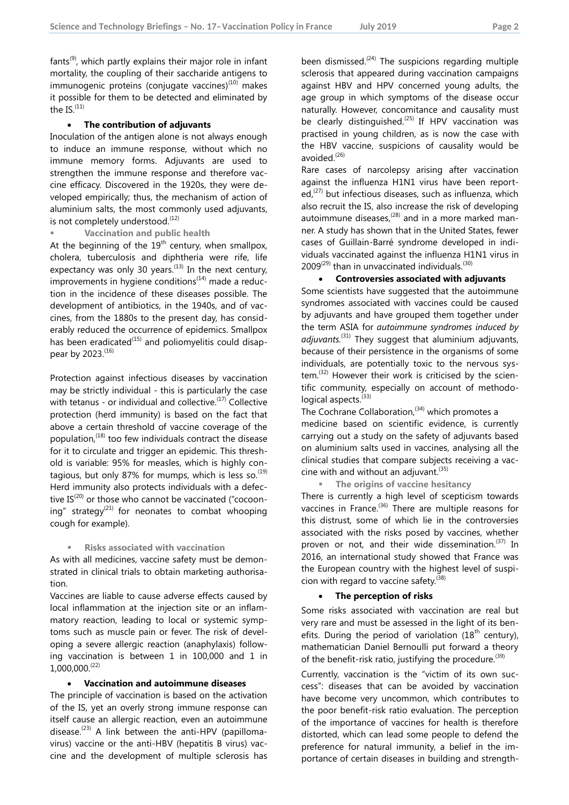$fants<sup>(9)</sup>$ , which partly explains their major role in infant mortality, the coupling of their saccharide antigens to immunogenic proteins (conjugate vaccines) $(10)$  makes it possible for them to be detected and eliminated by the  $IS<sub>.</sub>(11)$ 

#### **The contribution of adjuvants**

Inoculation of the antigen alone is not always enough to induce an immune response, without which no immune memory forms. Adjuvants are used to strengthen the immune response and therefore vaccine efficacy. Discovered in the 1920s, they were developed empirically; thus, the mechanism of action of aluminium salts, the most commonly used adjuvants, is not completely understood.<sup>(12)</sup>

**Vaccination and public health**

At the beginning of the  $19<sup>th</sup>$  century, when smallpox, cholera, tuberculosis and diphtheria were rife, life expectancy was only 30 years.<sup> $(13)$ </sup> In the next century,  $\overline{\text{improvements}}$  in hygiene conditions<sup>(14)</sup> made a reduction in the incidence of these diseases possible. The development of antibiotics, in the 1940s, and of vaccines, from the 1880s to the present day, has considerably reduced the occurrence of epidemics. Smallpox has been eradicated $(15)$  and poliomyelitis could disappear by 2023.(16)

Protection against infectious diseases by vaccination may be strictly individual - this is particularly the case with tetanus - or individual and collective. $(17)$  Collective protection (herd immunity) is based on the fact that above a certain threshold of vaccine coverage of the population, $(18)$  too few individuals contract the disease for it to circulate and trigger an epidemic. This threshold is variable: 95% for measles, which is highly contagious, but only 87% for mumps, which is less so. $^{(19)}$ Herd immunity also protects individuals with a defective  $IS^{(20)}$  or those who cannot be vaccinated ("cocooning" strategy<sup>(21)</sup> for neonates to combat whooping cough for example).

#### **Risks associated with vaccination**

As with all medicines, vaccine safety must be demonstrated in clinical trials to obtain marketing authorisation.

Vaccines are liable to cause adverse effects caused by local inflammation at the injection site or an inflammatory reaction, leading to local or systemic symptoms such as muscle pain or fever. The risk of developing a severe allergic reaction (anaphylaxis) following vaccination is between 1 in 100,000 and 1 in  $1,000,000$ <sup> $(22)$ </sup>

#### **Vaccination and autoimmune diseases**

The principle of vaccination is based on the activation of the IS, yet an overly strong immune response can itself cause an allergic reaction, even an autoimmune disease.<sup> $(23)$ </sup> A link between the anti-HPV (papillomavirus) vaccine or the anti-HBV (hepatitis B virus) vaccine and the development of multiple sclerosis has

been dismissed.<sup> $(24)$ </sup> The suspicions regarding multiple sclerosis that appeared during vaccination campaigns against HBV and HPV concerned young adults, the age group in which symptoms of the disease occur naturally. However, concomitance and causality must be clearly distinguished.<sup>(25)</sup> If HPV vaccination was practised in young children, as is now the case with the HBV vaccine, suspicions of causality would be avoided.<sup>(26)</sup>

Rare cases of narcolepsy arising after vaccination against the influenza H1N1 virus have been reported, $(27)$  but infectious diseases, such as influenza, which also recruit the IS, also increase the risk of developing autoimmune diseases, $(28)$  and in a more marked manner. A study has shown that in the United States, fewer cases of Guillain-Barré syndrome developed in individuals vaccinated against the influenza H1N1 virus in  $2009^{(29)}$  than in unvaccinated individuals.<sup>(30)</sup>

#### **Controversies associated with adjuvants**

Some scientists have suggested that the autoimmune syndromes associated with vaccines could be caused by adjuvants and have grouped them together under the term ASIA for *autoimmune syndromes induced by adjuvants.*(31) They suggest that aluminium adjuvants, because of their persistence in the organisms of some individuals, are potentially toxic to the nervous sys $tem<sup>(32)</sup>$  However their work is criticised by the scientific community, especially on account of methodological aspects.<sup>(33)</sup>

The Cochrane Collaboration,  $(34)$  which promotes a medicine based on scientific evidence, is currently carrying out a study on the safety of adjuvants based on aluminium salts used in vaccines, analysing all the clinical studies that compare subjects receiving a vaccine with and without an adjuvant. $(35)$ 

**The origins of vaccine hesitancy** 

There is currently a high level of scepticism towards vaccines in France. $(36)$  There are multiple reasons for this distrust, some of which lie in the controversies associated with the risks posed by vaccines, whether proven or not, and their wide dissemination. $(37)$  In 2016, an international study showed that France was the European country with the highest level of suspicion with regard to vaccine safety. $(38)$ 

# **The perception of risks**

Some risks associated with vaccination are real but very rare and must be assessed in the light of its benefits. During the period of variolation  $(18<sup>th</sup>$  century), mathematician Daniel Bernoulli put forward a theory of the benefit-risk ratio, justifying the procedure.<sup>(39)</sup>

Currently, vaccination is the "victim of its own success": diseases that can be avoided by vaccination have become very uncommon, which contributes to the poor benefit-risk ratio evaluation. The perception of the importance of vaccines for health is therefore distorted, which can lead some people to defend the preference for natural immunity, a belief in the importance of certain diseases in building and strength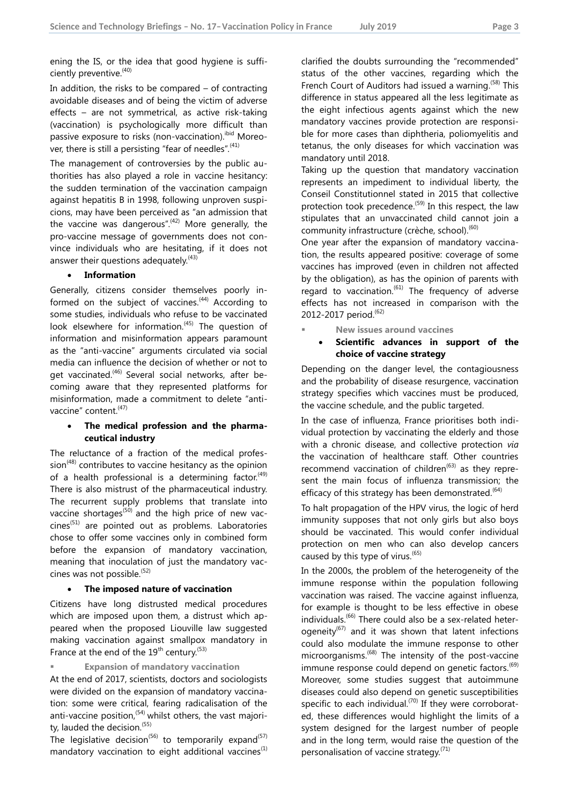ening the IS, or the idea that good hygiene is sufficiently preventive.<sup>(40)</sup>

In addition, the risks to be compared – of contracting avoidable diseases and of being the victim of adverse effects – are not symmetrical, as active risk-taking (vaccination) is psychologically more difficult than passive exposure to risks (non-vaccination). bid Moreover, there is still a persisting "fear of needles". $(41)$ 

The management of controversies by the public authorities has also played a role in vaccine hesitancy: the sudden termination of the vaccination campaign against hepatitis B in 1998, following unproven suspicions, may have been perceived as "an admission that the vaccine was dangerous". $(42)$  More generally, the pro-vaccine message of governments does not convince individuals who are hesitating, if it does not answer their questions adequately. $(43)$ 

# **Information**

Generally, citizens consider themselves poorly informed on the subject of vaccines.<sup> $(44)$ </sup> According to some studies, individuals who refuse to be vaccinated look elsewhere for information.<sup>(45)</sup> The question of information and misinformation appears paramount as the "anti-vaccine" arguments circulated via social media can influence the decision of whether or not to get vaccinated.(46) Several social networks, after becoming aware that they represented platforms for misinformation, made a commitment to delete "antivaccine" content.<sup>(47)</sup>

# **The medical profession and the pharmaceutical industry**

The reluctance of a fraction of the medical profes $sion<sup>(48)</sup>$  contributes to vaccine hesitancy as the opinion of a health professional is a determining factor.<sup> $(49)$ </sup> There is also mistrust of the pharmaceutical industry. The recurrent supply problems that translate into vaccine shortages<sup> $(50)$ </sup> and the high price of new vac $cines$ <sup> $(51)$ </sup> are pointed out as problems. Laboratories chose to offer some vaccines only in combined form before the expansion of mandatory vaccination, meaning that inoculation of just the mandatory vaccines was not possible.<sup>(52)</sup>

# **The imposed nature of vaccination**

Citizens have long distrusted medical procedures which are imposed upon them, a distrust which appeared when the proposed Liouville law suggested making vaccination against smallpox mandatory in France at the end of the  $19^{th}$  century.<sup>(53)</sup>

**Expansion of mandatory vaccination**

At the end of 2017, scientists, doctors and sociologists were divided on the expansion of mandatory vaccination: some were critical, fearing radicalisation of the anti-vaccine position,  $(54)$  whilst others, the vast majority, lauded the decision.<sup>(55)</sup>

The legislative decision<sup>(56)</sup> to temporarily expand<sup>(57)</sup> mandatory vaccination to eight additional vaccines<sup>(1)</sup> clarified the doubts surrounding the "recommended" status of the other vaccines, regarding which the French Court of Auditors had issued a warning.<sup>(58)</sup> This difference in status appeared all the less legitimate as the eight infectious agents against which the new mandatory vaccines provide protection are responsible for more cases than diphtheria, poliomyelitis and tetanus, the only diseases for which vaccination was mandatory until 2018.

Taking up the question that mandatory vaccination represents an impediment to individual liberty, the Conseil Constitutionnel stated in 2015 that collective protection took precedence.<sup>(59)</sup> In this respect, the law stipulates that an unvaccinated child cannot join a community infrastructure (crèche, school).<sup>(60)</sup>

One year after the expansion of mandatory vaccination, the results appeared positive: coverage of some vaccines has improved (even in children not affected by the obligation), as has the opinion of parents with regard to vaccination. $(61)$  The frequency of adverse effects has not increased in comparison with the 2012-2017 period.<sup>(62)</sup>

**New issues around vaccines**

# **Scientific advances in support of the choice of vaccine strategy**

Depending on the danger level, the contagiousness and the probability of disease resurgence, vaccination strategy specifies which vaccines must be produced, the vaccine schedule, and the public targeted.

In the case of influenza, France prioritises both individual protection by vaccinating the elderly and those with a chronic disease, and collective protection *via*  the vaccination of healthcare staff. Other countries recommend vaccination of children $(63)$  as they represent the main focus of influenza transmission; the efficacy of this strategy has been demonstrated. $(64)$ 

To halt propagation of the HPV virus, the logic of herd immunity supposes that not only girls but also boys should be vaccinated. This would confer individual protection on men who can also develop cancers caused by this type of virus.<sup>(65)</sup>

In the 2000s, the problem of the heterogeneity of the immune response within the population following vaccination was raised. The vaccine against influenza, for example is thought to be less effective in obese individuals.<sup>(66)</sup> There could also be a sex-related heterogeneity $^{(67)}$  and it was shown that latent infections could also modulate the immune response to other microorganisms.(68) The intensity of the post-vaccine immune response could depend on genetic factors.<sup>(69)</sup> Moreover, some studies suggest that autoimmune diseases could also depend on genetic susceptibilities specific to each individual.<sup> $(70)$ </sup> If they were corroborated, these differences would highlight the limits of a system designed for the largest number of people and in the long term, would raise the question of the personalisation of vaccine strategy.<sup>(71)</sup>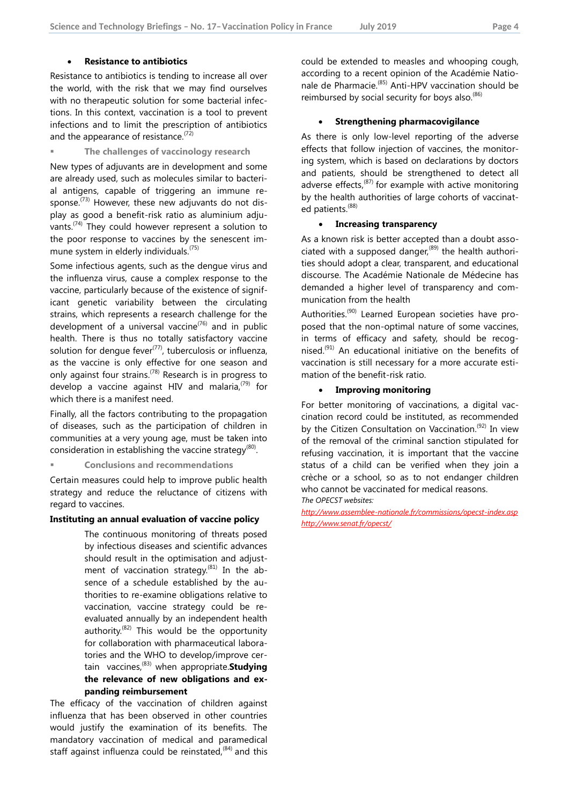### **Resistance to antibiotics**

Resistance to antibiotics is tending to increase all over the world, with the risk that we may find ourselves with no therapeutic solution for some bacterial infections. In this context, vaccination is a tool to prevent infections and to limit the prescription of antibiotics and the appearance of resistance.<sup> $(72)$ </sup>

#### **The challenges of vaccinology research**

New types of adjuvants are in development and some are already used, such as molecules similar to bacterial antigens, capable of triggering an immune response. $^{(73)}$  However, these new adjuvants do not display as good a benefit-risk ratio as aluminium adjuvants.<sup> $(74)$ </sup> They could however represent a solution to the poor response to vaccines by the senescent immune system in elderly individuals.<sup>(75)</sup>

Some infectious agents, such as the dengue virus and the influenza virus, cause a complex response to the vaccine, particularly because of the existence of significant genetic variability between the circulating strains, which represents a research challenge for the development of a universal vaccine<sup> $(76)$ </sup> and in public health. There is thus no totally satisfactory vaccine solution for dengue fever<sup> $(77)$ </sup>, tuberculosis or influenza, as the vaccine is only effective for one season and only against four strains.(78) Research is in progress to develop a vaccine against HIV and malaria, $(79)$  for which there is a manifest need.

Finally, all the factors contributing to the propagation of diseases, such as the participation of children in communities at a very young age, must be taken into consideration in establishing the vaccine strategy $^{(80)}$ .

**Conclusions and recommendations**

Certain measures could help to improve public health strategy and reduce the reluctance of citizens with regard to vaccines.

#### **Instituting an annual evaluation of vaccine policy**

The continuous monitoring of threats posed by infectious diseases and scientific advances should result in the optimisation and adjustment of vaccination strategy.<sup>(81)</sup> In the absence of a schedule established by the authorities to re-examine obligations relative to vaccination, vaccine strategy could be reevaluated annually by an independent health authority.<sup> $(82)$ </sup> This would be the opportunity for collaboration with pharmaceutical laboratories and the WHO to develop/improve certain vaccines,(83) when appropriate.**Studying the relevance of new obligations and expanding reimbursement**

The efficacy of the vaccination of children against influenza that has been observed in other countries would justify the examination of its benefits. The mandatory vaccination of medical and paramedical staff against influenza could be reinstated, $(84)$  and this could be extended to measles and whooping cough, according to a recent opinion of the Académie Nationale de Pharmacie.(85) Anti-HPV vaccination should be reimbursed by social security for boys also. $(86)$ 

# **Strengthening pharmacovigilance**

As there is only low-level reporting of the adverse effects that follow injection of vaccines, the monitoring system, which is based on declarations by doctors and patients, should be strengthened to detect all adverse effects,  $(87)$  for example with active monitoring by the health authorities of large cohorts of vaccinated patients.<sup>(88)</sup>

### **Increasing transparency**

As a known risk is better accepted than a doubt associated with a supposed danger, $(89)$  the health authorities should adopt a clear, transparent, and educational discourse. The Académie Nationale de Médecine has demanded a higher level of transparency and communication from the health

Authorities.<sup>(90)</sup> Learned European societies have proposed that the non-optimal nature of some vaccines, in terms of efficacy and safety, should be recognised.(91) An educational initiative on the benefits of vaccination is still necessary for a more accurate estimation of the benefit-risk ratio.

#### **Improving monitoring**

For better monitoring of vaccinations, a digital vaccination record could be instituted, as recommended by the Citizen Consultation on Vaccination.<sup>(92)</sup> In view of the removal of the criminal sanction stipulated for refusing vaccination, it is important that the vaccine status of a child can be verified when they join a crèche or a school, so as to not endanger children who cannot be vaccinated for medical reasons. *The OPECST websites:*

*<http://www.assemblee-nationale.fr/commissions/opecst-index.asp> <http://www.senat.fr/opecst/>*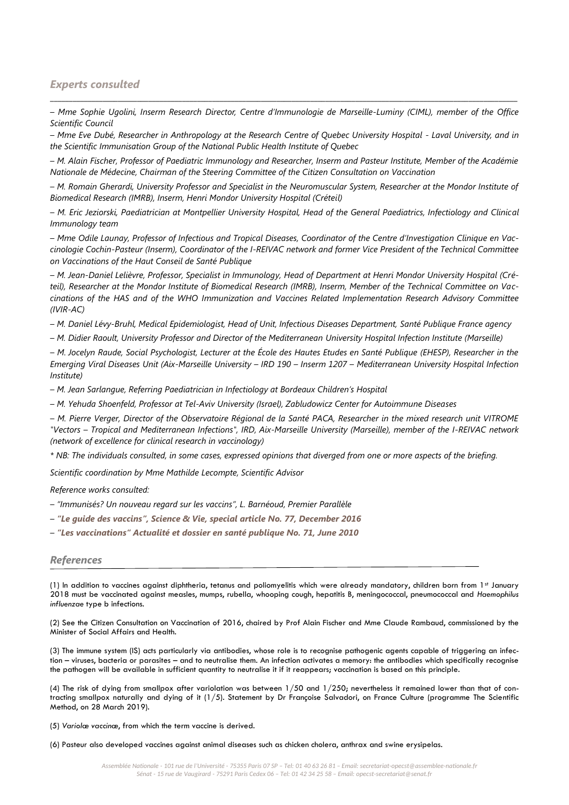# *Experts consulted*

*– Mme Sophie Ugolini, Inserm Research Director, Centre d'Immunologie de Marseille-Luminy (CIML), member of the Office Scientific Council*

\_\_\_\_\_\_\_\_\_\_\_\_\_\_\_\_\_\_\_\_\_\_\_\_\_\_\_\_\_\_\_\_\_\_\_\_\_\_\_\_\_\_\_\_\_\_\_\_\_\_\_\_\_\_\_\_\_\_\_\_\_\_\_\_\_\_\_\_\_\_\_\_\_\_\_\_\_\_\_\_\_\_\_\_\_\_\_\_\_\_\_\_\_\_\_\_\_\_\_\_\_\_\_\_\_\_\_\_\_\_\_\_\_\_\_\_\_\_\_\_\_\_\_\_

*– Mme Eve Dubé, Researcher in Anthropology at the Research Centre of Quebec University Hospital - Laval University, and in the Scientific Immunisation Group of the National Public Health Institute of Quebec*

*– M. Alain Fischer, Professor of Paediatric Immunology and Researcher, Inserm and Pasteur Institute, Member of the Académie Nationale de Médecine, Chairman of the Steering Committee of the Citizen Consultation on Vaccination*

*– M. Romain Gherardi, University Professor and Specialist in the Neuromuscular System, Researcher at the Mondor Institute of Biomedical Research (IMRB), Inserm, Henri Mondor University Hospital (Créteil)*

*– M. Eric Jeziorski, Paediatrician at Montpellier University Hospital, Head of the General Paediatrics, Infectiology and Clinical Immunology team*

*– Mme Odile Launay, Professor of Infectious and Tropical Diseases, Coordinator of the Centre d'Investigation Clinique en Vaccinologie Cochin-Pasteur (Inserm), Coordinator of the I-REIVAC network and former Vice President of the Technical Committee on Vaccinations of the Haut Conseil de Santé Publique*

*– M. Jean-Daniel Lelièvre, Professor, Specialist in Immunology, Head of Department at Henri Mondor University Hospital (Créteil), Researcher at the Mondor Institute of Biomedical Research (IMRB), Inserm, Member of the Technical Committee on Vaccinations of the HAS and of the WHO Immunization and Vaccines Related Implementation Research Advisory Committee (IVIR-AC)*

*– M. Daniel Lévy-Bruhl, Medical Epidemiologist, Head of Unit, Infectious Diseases Department, Santé Publique France agency*

*– M. Didier Raoult, University Professor and Director of the Mediterranean University Hospital Infection Institute (Marseille)*

*– M. Jocelyn Raude, Social Psychologist, Lecturer at the École des Hautes Etudes en Santé Publique (EHESP), Researcher in the Emerging Viral Diseases Unit (Aix-Marseille University – IRD 190 – Inserm 1207 – Mediterranean University Hospital Infection Institute)*

*– M. Jean Sarlangue, Referring Paediatrician in Infectiology at Bordeaux Children's Hospital*

*– M. Yehuda Shoenfeld, Professor at Tel-Aviv University (Israel), Zabludowicz Center for Autoimmune Diseases*

*– M. Pierre Verger, Director of the Observatoire Régional de la Santé PACA, Researcher in the mixed research unit VITROME "Vectors – Tropical and Mediterranean Infections", IRD, Aix-Marseille University (Marseille), member of the I-REIVAC network (network of excellence for clinical research in vaccinology)*

*\* NB: The individuals consulted, in some cases, expressed opinions that diverged from one or more aspects of the briefing.*

*Scientific coordination by Mme Mathilde Lecompte, Scientific Advisor*

*Reference works consulted:*

*– "Immunisés? Un nouveau regard sur les vaccins", L. Barnéoud, Premier Parallèle*

*– "Le guide des vaccins", Science & Vie, special article No. 77, December 2016*

*– "Les vaccinations" Actualité et dossier en santé publique No. 71, June 2010*

#### *References*

(1) In addition to vaccines against diphtheria, tetanus and poliomyelitis which were already mandatory, children born from 1st January 2018 must be vaccinated against measles, mumps, rubella, whooping cough, hepatitis B, meningococcal, pneumococcal and *Haemophilus influenzae* type b infections.

(2) See the Citizen Consultation on Vaccination of 2016, chaired by Prof Alain Fischer and Mme Claude Rambaud, commissioned by the Minister of Social Affairs and Health.

(3) The immune system (IS) acts particularly via antibodies, whose role is to recognise pathogenic agents capable of triggering an infection – viruses, bacteria or parasites – and to neutralise them. An infection activates a memory: the antibodies which specifically recognise the pathogen will be available in sufficient quantity to neutralise it if it reappears; vaccination is based on this principle.

(4) The risk of dying from smallpox after variolation was between 1/50 and 1/250; nevertheless it remained lower than that of contracting smallpox naturally and dying of it (1/5). Statement by Dr Françoise Salvadori, on France Culture (programme The Scientific Method, on 28 March 2019).

(5) *Variolæ vaccinæ*, from which the term vaccine is derived.

(6) Pasteur also developed vaccines against animal diseases such as chicken cholera, anthrax and swine erysipelas.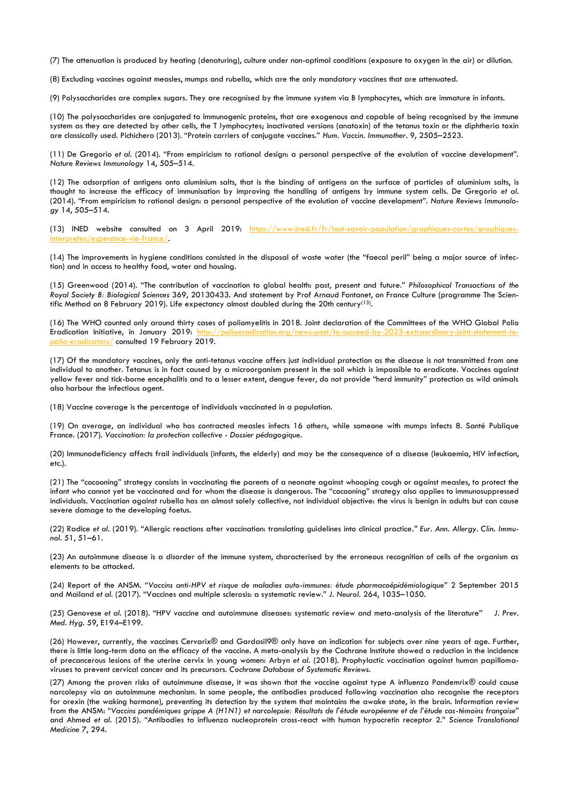(7) The attenuation is produced by heating (denaturing), culture under non-optimal conditions (exposure to oxygen in the air) or dilution.

(8) Excluding vaccines against measles, mumps and rubella, which are the only mandatory vaccines that are attenuated.

(9) Polysaccharides are complex sugars. They are recognised by the immune system via B lymphocytes, which are immature in infants.

(10) The polysaccharides are conjugated to immunogenic proteins, that are exogenous and capable of being recognised by the immune system as they are detected by other cells, the T lymphocytes; inactivated versions (anatoxin) of the tetanus toxin or the diphtheria toxin are classically used. Pichichero (2013). "Protein carriers of conjugate vaccines." *Hum. Vaccin. Immunother*. 9, 2505–2523.

(11) De Gregorio *et al*. (2014). "From empiricism to rational design: a personal perspective of the evolution of vaccine development". *Nature Reviews Immunology* 14, 505–514.

(12) The adsorption of antigens onto aluminium salts, that is the binding of antigens on the surface of particles of aluminium salts, is thought to increase the efficacy of immunisation by improving the handling of antigens by immune system cells. De Gregorio *et al*. (2014). "From empiricism to rational design: a personal perspective of the evolution of vaccine development". *Nature Reviews Immunology* 14, 505–514.

(13) INED website consulted on 3 April 2019: [https://www.ined.fr/fr/tout-savoir-population/graphiques-cartes/graphiques](https://www.ined.fr/fr/tout-savoir-population/graphiques-cartes/graphiques-interpretes/esperance-vie-france/)[interpretes/esperance-vie-france/.](https://www.ined.fr/fr/tout-savoir-population/graphiques-cartes/graphiques-interpretes/esperance-vie-france/)

(14) The improvements in hygiene conditions consisted in the disposal of waste water (the "faecal peril" being a major source of infection) and in access to healthy food, water and housing.

(15) Greenwood (2014). "The contribution of vaccination to global health: past, present and future." *Philosophical Transactions of the Royal Society B: Biological Sciences* 369, 20130433. And statement by Prof Arnaud Fontanet, on France Culture (programme The Scientific Method on 8 February 2019). Life expectancy almost doubled during the 20th century(13).

(16) The WHO counted only around thirty cases of poliomyelitis in 2018. Joint declaration of the Committees of the WHO Global Polio Eradication Initiative, in January 2019: [http://polioeradication.org/news-post/to-succeed-by-2023-extraordinary-joint-statement-to](http://polioeradication.org/news-post/to-succeed-by-2023-extraordinary-joint-statement-to-polio-eradicators/)[polio-eradicators/](http://polioeradication.org/news-post/to-succeed-by-2023-extraordinary-joint-statement-to-polio-eradicators/) consulted 19 February 2019.

(17) Of the mandatory vaccines, only the anti-tetanus vaccine offers just individual protection as the disease is not transmitted from one individual to another. Tetanus is in fact caused by a microorganism present in the soil which is impossible to eradicate. Vaccines against yellow fever and tick-borne encephalitis and to a lesser extent, dengue fever, do not provide "herd immunity" protection as wild animals also harbour the infectious agent.

(18) Vaccine coverage is the percentage of individuals vaccinated in a population.

(19) On average, an individual who has contracted measles infects 16 others, while someone with mumps infects 8. Santé Publique France. (2017). *Vaccination: la protection collective - Dossier pédagogique*.

(20) Immunodeficiency affects frail individuals (infants, the elderly) and may be the consequence of a disease (leukaemia, HIV infection, etc.).

(21) The "cocooning" strategy consists in vaccinating the parents of a neonate against whooping cough or against measles, to protect the infant who cannot yet be vaccinated and for whom the disease is dangerous. The "cocooning" strategy also applies to immunosuppressed individuals. Vaccination against rubella has an almost solely collective, not individual objective: the virus is benign in adults but can cause severe damage to the developing foetus.

(22) Radice *et al*. (2019). "Allergic reactions after vaccination: translating guidelines into clinical practice*." Eur. Ann. Allergy. Clin. Immunol*. 51, 51–61.

(23) An autoimmune disease is a disorder of the immune system, characterised by the erroneous recognition of cells of the organism as elements to be attacked.

(24) Report of the ANSM. "*Vaccins anti-HPV et risque de maladies auto-immunes: étude pharmacoépidémiologique*" 2 September 2015 and Mailand *et al*. (2017). "Vaccines and multiple sclerosis: a systematic review." *J. Neurol*. 264, 1035–1050.

(25) Genovese *et al.* (2018). "HPV vaccine and autoimmune diseases: systematic review and meta-analysis of the literature" *J. Prev. Med. Hyg*. 59, E194–E199.

(26) However, currently, the vaccines Cervarix® and Gardasil9® only have an indication for subjects over nine years of age. Further, there is little long-term data on the efficacy of the vaccine. A meta-analysis by the Cochrane Institute showed a reduction in the incidence of precancerous lesions of the uterine cervix in young women: Arbyn *et al*. (2018). Prophylactic vaccination against human papillomaviruses to prevent cervical cancer and its precursors. *Cochrane Database of Systematic Reviews.*

(27) Among the proven risks of autoimmune disease, it was shown that the vaccine against type A influenza Pandemrix® could cause narcolepsy via an autoimmune mechanism. In some people, the antibodies produced following vaccination also recognise the receptors for orexin (the waking hormone), preventing its detection by the system that maintains the awake state, in the brain. Information review from the ANSM: "*Vaccins pandémiques grippe A (H1N1) et narcolepsie: Résultats de l'étude européenne et de l'étude cas-témoins française*" and Ahmed *et al*. (2015). "Antibodies to influenza nucleoprotein cross-react with human hypocretin receptor 2." *Science Translational Medicine* 7, 294.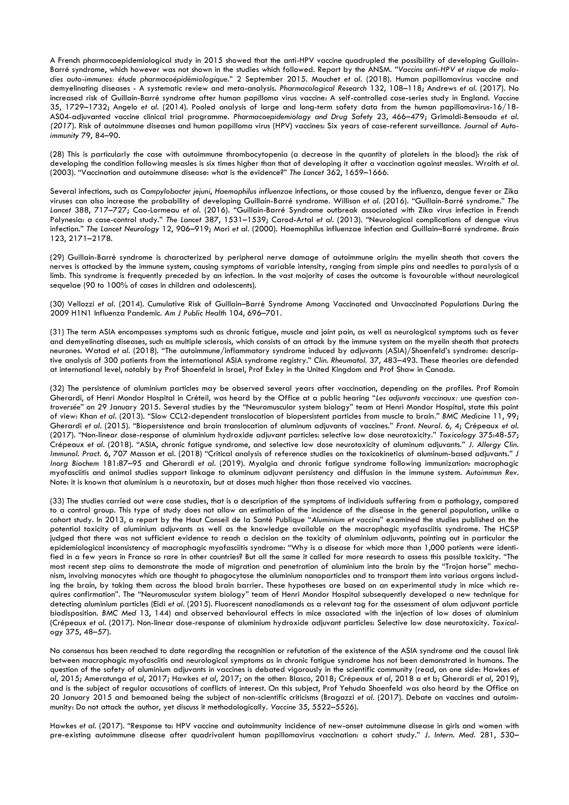A French pharmacoepidemiological study in 2015 showed that the anti-HPV vaccine quadrupled the possibility of developing Guillain-Barré syndrome, which however was not shown in the studies which followed. Report by the ANSM. *"Vaccins anti-HPV et risque de maladies auto-immunes: étude pharmacoépidémiologique*." 2 September 2015. Mouchet *et al*. (2018). Human papillomavirus vaccine and demyelinating diseases - A systematic review and meta-analysis. *Pharmacological Research* 132, 108–118; Andrews *et al*. (2017). No increased risk of Guillain-Barré syndrome after human papilloma virus vaccine: A self-controlled case-series study in England. *Vaccine* 35, 1729–1732; Angelo *et al.* (2014)*.* Pooled analysis of large and long-term safety data from the human papillomavirus-16/18- AS04-adjuvanted vaccine clinical trial programme. *Pharmacoepidemiology and Drug Safety* 23, 466–479; Grimaldi-Bensouda *et al. (2017*). Risk of autoimmune diseases and human papilloma virus (HPV) vaccines: Six years of case-referent surveillance. *Journal of Autoimmunity* 79, 84–90.

(28) This is particularly the case with autoimmune thrombocytopenia (a decrease in the quantity of platelets in the blood): the risk of developing the condition following measles is six times higher than that of developing it after a vaccination against measles. Wraith *et al*. (2003). "Vaccination and autoimmune disease: what is the evidence?" *The Lancet* 362, 1659–1666.

Several infections, such as *Campylobacter jejuni*, *Haemophilus influenzae* infections, or those caused by the influenza, dengue fever or Zika viruses can also increase the probability of developing Guillain-Barré syndrome. Willison *et al*. (2016). "Guillain-Barré syndrome." *The Lancet* 388, 717–727; Cao-Lormeau *et al*. (2016). "Guillain-Barré Syndrome outbreak associated with Zika virus infection in French Polynesia: a case-control study." *The Lancet* 387, 1531–1539; Carod-Artal *et al*. (2013). "Neurological complications of dengue virus infection." *The Lancet Neurology* 12, 906–919; Mori *et al*. (2000). Haemophilus influenzae infection and Guillain–Barré syndrome. *Brain* 123, 2171–2178.

(29) Guillain-Barré syndrome is characterized by peripheral nerve damage of autoimmune origin: the myelin sheath that covers the nerves is attacked by the immune system, causing symptoms of variable intensity, ranging from simple pins and needles to paralysis of a limb. This syndrome is frequently preceded by an infection. In the vast majority of cases the outcome is favourable without neurological sequelae (90 to 100% of cases in children and adolescents).

(30) Vellozzi *et al*. (2014). Cumulative Risk of Guillain–Barré Syndrome Among Vaccinated and Unvaccinated Populations During the 2009 H1N1 Influenza Pandemic. *Am J Public Health* 104, 696–701.

(31) The term ASIA encompasses symptoms such as chronic fatigue, muscle and joint pain, as well as neurological symptoms such as fever and demyelinating diseases, such as multiple sclerosis, which consists of an attack by the immune system on the myelin sheath that protects neurones. Watad *et al.* (2018). "The autoimmune/inflammatory syndrome induced by adjuvants (ASIA)/Shoenfeld's syndrome: descriptive analysis of 300 patients from the international ASIA syndrome registry." *Clin. Rheumatol.* 37, 483–493*.* These theories are defended at international level, notably by Prof Shoenfeld in Israel, Prof Exley in the United Kingdom and Prof Shaw in Canada.

(32) The persistence of aluminium particles may be observed several years after vaccination, depending on the profiles. Prof Romain Gherardi, of Henri Mondor Hospital in Créteil, was heard by the Office at a public hearing "*Les adjuvants vaccinaux: une question controversée*" on 29 January 2015. Several studies by the "Neuromuscular system biology" team at Henri Mondor Hospital, state this point of view: Khan *et al*. (2013). "Slow CCL2-dependent translocation of biopersistent particles from muscle to brain*." BMC Medicine* 11, 99; Gherardi *et al*. (2015). "Biopersistence and brain translocation of aluminum adjuvants of vaccines." *Front. Neurol*. 6, 4; Crépeaux *et al.* (2017). "Non-linear dose-response of aluminium hydroxide adjuvant particles: selective low dose neurotoxicity." *Toxicology* 375:48-57; Crépeaux *et al*. (2018). "ASIA, chronic fatigue syndrome, and selective low dose neurotoxicity of aluminum adjuvants." *J. Allergy Clin. Immunol. Pract*. 6, 707 Masson et al. (2018) "Critical analysis of reference studies on the toxicokinetics of aluminum-based adjuvants." *J Inorg Biochem* 181:87–95 and Gherardi *et al*. (2019). Myalgia and chronic fatigue syndrome following immunization: macrophagic myofasciitis and animal studies support linkage to aluminum adjuvant persistency and diffusion in the immune system. *Autoimmun Rev*. Note: it is known that aluminium is a neurotoxin, but at doses much higher than those received via vaccines.

(33) The studies carried out were case studies, that is a description of the symptoms of individuals suffering from a pathology, compared to a control group. This type of study does not allow an estimation of the incidence of the disease in the general population, unlike a cohort study. In 2013, a report by the Haut Conseil de la Santé Publique "*Aluminium et vaccins*" examined the studies published on the potential toxicity of aluminium adjuvants as well as the knowledge available on the macrophagic myofasciitis syndrome. The HCSP judged that there was not sufficient evidence to reach a decision on the toxicity of aluminium adjuvants, pointing out in particular the epidemiological inconsistency of macrophagic myofasciitis syndrome: "Why is a disease for which more than 1,000 patients were identified in a few years in France so rare in other countries? But all the same it called for more research to assess this possible toxicity. "The most recent step aims to demonstrate the mode of migration and penetration of aluminium into the brain by the "Trojan horse" mechanism, involving monocytes which are thought to phagocytose the aluminium nanoparticles and to transport them into various organs including the brain, by taking them across the blood brain barrier. These hypotheses are based on an experimental study in mice which requires confirmation". The "Neuromuscular system biology" team of Henri Mondor Hospital subsequently developed a new technique for detecting aluminium particles (Eidi *et al*. (2015). Fluorescent nanodiamonds as a relevant tag for the assessment of alum adjuvant particle biodisposition. *BMC Med* 13, 144) and observed behavioural effects in mice associated with the injection of low doses of aluminium (Crépeaux *et al*. (2017). Non-linear dose-response of aluminium hydroxide adjuvant particles: Selective low dose neurotoxicity. *Toxicology* 375, 48–57).

No consensus has been reached to date regarding the recognition or refutation of the existence of the ASIA syndrome and the causal link between macrophagic myofasciitis and neurological symptoms as in chronic fatigue syndrome has not been demonstrated in humans. The question of the safety of aluminium adjuvants in vaccines is debated vigorously in the scientific community (read, on one side: Hawkes *et al*, 2015; Ameratunga *et al*, 2017; Hawkes *et al*, 2017; on the other: Blasco, 2018; Crépeaux *et al*, 2018 a et b; Gherardi *et al*, 2019), and is the subject of regular accusations of conflicts of interest. On this subject, Prof Yehuda Shoenfeld was also heard by the Office on 20 January 2015 and bemoaned being the subject of non-scientific criticisms (Bragazzi *et al*. (2017). Debate on vaccines and autoimmunity: Do not attack the author, yet discuss it methodologically. *Vaccine* 35, 5522–5526).

Hawkes *et al*. (2017). "Response to: HPV vaccine and autoimmunity incidence of new-onset autoimmune disease in girls and women with pre-existing autoimmune disease after quadrivalent human papillomavirus vaccination: a cohort study." *J. Intern. Med.* 281, 530–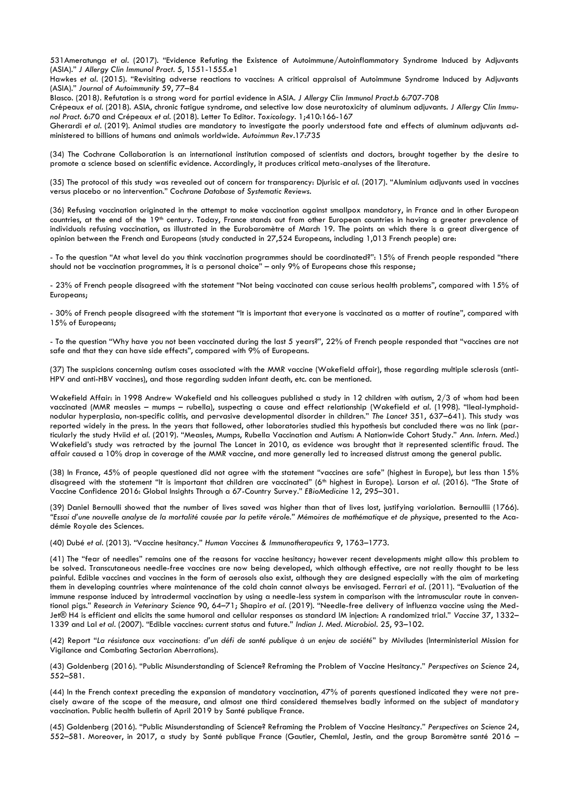531Ameratunga *et al.* (2017). "Evidence Refuting the Existence of Autoimmune/Autoinflammatory Syndrome Induced by Adjuvants (ASIA)." *J Allergy Clin Immunol Pract*. 5, 1551-1555.e1

Hawkes *et al*. (2015). "Revisiting adverse reactions to vaccines: A critical appraisal of Autoimmune Syndrome Induced by Adjuvants (ASIA)." *Journal of Autoimmunity* 59, 77–84

Blasco. (2018*).* Refutation is a strong word for partial evidence in ASIA. *J Allergy Clin Immunol Pract.b* 6:707-708

Crépeaux *et al.* (2018). ASIA, chronic fatigue syndrome, and selective low dose neurotoxicity of aluminum adjuvants. *J Allergy Clin Immunol Pract*. 6:70 and Crépeaux *et al*. (2018). Letter To Editor. *Toxicology*. 1;410:166-167

Gherardi *et al*. (2019). Animal studies are mandatory to investigate the poorly understood fate and effects of aluminum adjuvants administered to billions of humans and animals worldwide. *Autoimmun Rev*.17:735

(34) The Cochrane Collaboration is an international institution composed of scientists and doctors, brought together by the desire to promote a science based on scientific evidence. Accordingly, it produces critical meta-analyses of the literature.

(35) The protocol of this study was revealed out of concern for transparency: Djurisic *et al.* (2017). "Aluminium adjuvants used in vaccines versus placebo or no intervention." *Cochrane Database of Systematic Reviews.*

(36) Refusing vaccination originated in the attempt to make vaccination against smallpox mandatory, in France and in other European countries, at the end of the 19th century. Today, France stands out from other European countries in having a greater prevalence of individuals refusing vaccination, as illustrated in the Eurobaromètre of March 19. The points on which there is a great divergence of opinion between the French and Europeans (study conducted in 27,524 Europeans, including 1,013 French people) are:

- To the question "At what level do you think vaccination programmes should be coordinated?": 15% of French people responded "there should not be vaccination programmes, it is a personal choice" – only 9% of Europeans chose this response;

- 23% of French people disagreed with the statement "Not being vaccinated can cause serious health problems", compared with 15% of Europeans;

- 30% of French people disagreed with the statement "It is important that everyone is vaccinated as a matter of routine", compared with 15% of Europeans;

- To the question "Why have you not been vaccinated during the last 5 years?", 22% of French people responded that "vaccines are not safe and that they can have side effects", compared with 9% of Europeans.

(37) The suspicions concerning autism cases associated with the MMR vaccine (Wakefield affair), those regarding multiple sclerosis (anti-HPV and anti-HBV vaccines), and those regarding sudden infant death, etc. can be mentioned.

Wakefield Affair: in 1998 Andrew Wakefield and his colleagues published a study in 12 children with autism, 2/3 of whom had been vaccinated (MMR measles – mumps – rubella), suspecting a cause and effect relationship (Wakefield *et al*. (1998). "Ileal-lymphoidnodular hyperplasia, non-specific colitis, and pervasive developmental disorder in children." *The Lancet* 351, 637–641). This study was reported widely in the press. In the years that followed, other laboratories studied this hypothesis but concluded there was no link (particularly the study Hviid *et al.* (2019). "Measles, Mumps, Rubella Vaccination and Autism: A Nationwide Cohort Study." *Ann. Intern. Med*.) Wakefield's study was retracted by the journal The Lancet in 2010, as evidence was brought that it represented scientific fraud. The affair caused a 10% drop in coverage of the MMR vaccine, and more generally led to increased distrust among the general public.

(38) In France, 45% of people questioned did not agree with the statement "vaccines are safe" (highest in Europe), but less than 15% disagreed with the statement "It is important that children are vaccinated" (6<sup>th</sup> highest in Europe). Larson et al. (2016). "The State of Vaccine Confidence 2016: Global Insights Through a 67-Country Survey." *EBioMedicine* 12, 295–301.

(39) Daniel Bernoulli showed that the number of lives saved was higher than that of lives lost, justifying variolation. Bernoullii (1766). *"Essai d'une nouvelle analyse de la mortalité causée par la petite vérole." Mémoires de mathématique et de physique*, presented to the Académie Royale des Sciences.

(40) Dubé *et al*. (2013). "Vaccine hesitancy." *Human Vaccines & Immunotherapeutics* 9, 1763–1773.

(41) The "fear of needles" remains one of the reasons for vaccine hesitancy; however recent developments might allow this problem to be solved. Transcutaneous needle-free vaccines are now being developed, which although effective, are not really thought to be less painful. Edible vaccines and vaccines in the form of aerosols also exist, although they are designed especially with the aim of marketing them in developing countries where maintenance of the cold chain cannot always be envisaged. Ferrari *et al*. (2011). "Evaluation of the immune response induced by intradermal vaccination by using a needle-less system in comparison with the intramuscular route in conventional pigs." *Research in Veterinary Science* 90, 64–71; Shapiro *et al*. (2019). "Needle-free delivery of influenza vaccine using the Med-Jet® H4 is efficient and elicits the same humoral and cellular responses as standard IM injection: A randomized trial." *Vaccine* 37, 1332– 1339 and Lal *et al*. (2007). "Edible vaccines: current status and future." *Indian J. Med. Microbiol*. 25, 93–102.

(42) Report "*La résistance aux vaccinations: d'un défi de santé publique à un enjeu de société*" by Miviludes (Interministerial Mission for Vigilance and Combating Sectarian Aberrations).

(43) Goldenberg (2016). "Public Misunderstanding of Science? Reframing the Problem of Vaccine Hesitancy." *Perspectives on Science* 24, 552–581.

(44) In the French context preceding the expansion of mandatory vaccination, 47% of parents questioned indicated they were not precisely aware of the scope of the measure, and almost one third considered themselves badly informed on the subject of mandatory vaccination. Public health bulletin of April 2019 by Santé publique France.

(45) Goldenberg (2016). "Public Misunderstanding of Science? Reframing the Problem of Vaccine Hesitancy." *Perspectives on Science* 24, 552–581. Moreover, in 2017, a study by Santé publique France (Gautier, Chemlal, Jestin, and the group Baromètre santé 2016 –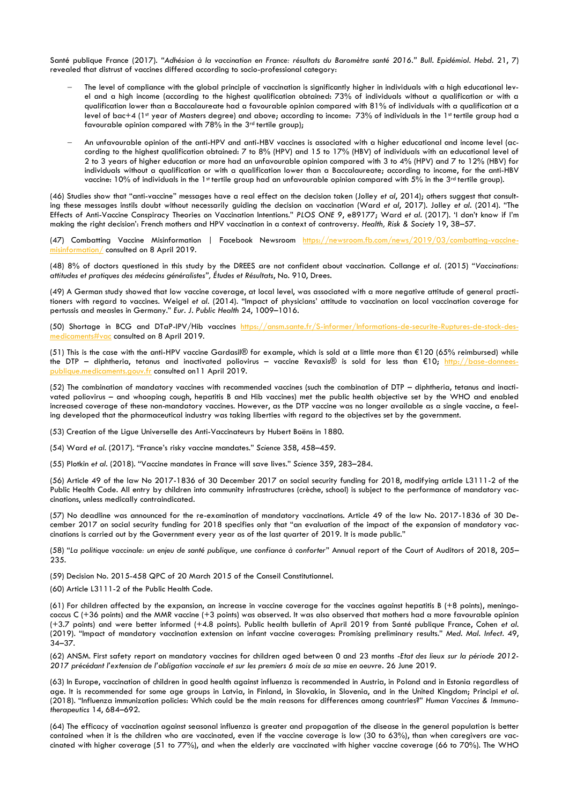Santé publique France (2017). *"Adhésion à la vaccination en France: résultats du Baromètre santé 2016." Bull. Epidémiol. Hebd*. 21, 7) revealed that distrust of vaccines differed according to socio-professional category:

- The level of compliance with the global principle of vaccination is significantly higher in individuals with a high educational level and a high income (according to the highest qualification obtained: 73% of individuals without a qualification or with a qualification lower than a Baccalaureate had a favourable opinion compared with 81% of individuals with a qualification at a level of bac+4 (1st year of Masters degree) and above; according to income: 73% of individuals in the 1st tertile group had a favourable opinion compared with 78% in the 3rd tertile group);
- An unfavourable opinion of the anti-HPV and anti-HBV vaccines is associated with a higher educational and income level (according to the highest qualification obtained: 7 to 8% (HPV) and 15 to 17% (HBV) of individuals with an educational level of 2 to 3 years of higher education or more had an unfavourable opinion compared with 3 to 4% (HPV) and 7 to 12% (HBV) for individuals without a qualification or with a qualification lower than a Baccalaureate; according to income, for the anti-HBV vaccine: 10% of individuals in the 1st tertile group had an unfavourable opinion compared with 5% in the  $3^{rd}$  tertile group).

(46) Studies show that "anti-vaccine" messages have a real effect on the decision taken (Jolley *et al*, 2014); others suggest that consulting these messages instils doubt without necessarily guiding the decision on vaccination (Ward *et al*, 2017). Jolley *et al.* (2014). "The Effects of Anti-Vaccine Conspiracy Theories on Vaccination Intentions." *PLOS ONE 9*, e89177; Ward *et al*. (2017). 'I don't know if I'm making the right decision': French mothers and HPV vaccination in a context of controversy. *Health, Risk & Society* 19, 38–57.

(47) Combatting Vaccine Misinformation | Facebook Newsroom [https://newsroom.fb.com/news/2019/03/combatting-vaccine](https://newsroom.fb.com/news/2019/03/combatting-vaccine-misinformation/) $nation/$  consulted on 8 April 2019.

(48) 8% of doctors questioned in this study by the DREES are not confident about vaccination. Collange *et al.* (2015) "*Vaccinations: attitudes et pratiques des médecins généralistes", Études et Résultats*, No. 910, Drees.

(49) A German study showed that low vaccine coverage, at local level, was associated with a more negative attitude of general practitioners with regard to vaccines. Weigel *et al.* (2014). "Impact of physicians' attitude to vaccination on local vaccination coverage for pertussis and measles in Germany." *Eur. J. Public Health* 24, 1009–1016.

(50) Shortage in BCG and DTaP-IPV/Hib vaccines [https://ansm.sante.fr/S-informer/Informations-de-securite-Ruptures-de-stock-des](https://ansm.sante.fr/S-informer/Informations-de-securite-Ruptures-de-stock-des-medicaments#vac)[medicaments#vac](https://ansm.sante.fr/S-informer/Informations-de-securite-Ruptures-de-stock-des-medicaments#vac) consulted on 8 April 2019.

(51) This is the case with the anti-HPV vaccine Gardasil® for example, which is sold at a little more than €120 (65% reimbursed) while the DTP – diphtheria, tetanus and inactivated poliovirus – vaccine Revaxis® is sold for less than €10; [http://base-donnees](http://base-donnees-publique.medicaments.gouv.fr/)[publique.medicaments.gouv.fr](http://base-donnees-publique.medicaments.gouv.fr/) consulted on11 April 2019.

(52) The combination of mandatory vaccines with recommended vaccines (such the combination of DTP – diphtheria, tetanus and inactivated poliovirus – and whooping cough, hepatitis B and Hib vaccines) met the public health objective set by the WHO and enabled increased coverage of these non-mandatory vaccines. However, as the DTP vaccine was no longer available as a single vaccine, a feeling developed that the pharmaceutical industry was taking liberties with regard to the objectives set by the government.

(53) Creation of the Ligue Universelle des Anti-Vaccinateurs by Hubert Boëns in 1880.

(54) Ward *et al.* (2017). "France's risky vaccine mandates." *Science* 358, 458–459.

(55) Plotkin *et al*. (2018). "Vaccine mandates in France will save lives." *Science* 359, 283–284.

(56) Article 49 of the law No 2017-1836 of 30 December 2017 on social security funding for 2018, modifying article L3111-2 of the Public Health Code. All entry by children into community infrastructures (crèche, school) is subject to the performance of mandatory vaccinations, unless medically contraindicated.

(57) No deadline was announced for the re-examination of mandatory vaccinations. Article 49 of the law No. 2017-1836 of 30 December 2017 on social security funding for 2018 specifies only that "an evaluation of the impact of the expansion of mandatory vaccinations is carried out by the Government every year as of the last quarter of 2019. It is made public."

(58) "*La politique vaccinale: un enjeu de santé publique, une confiance à conforter*" Annual report of the Court of Auditors of 2018, 205– 235.

(59) Decision No. 2015-458 QPC of 20 March 2015 of the Conseil Constitutionnel.

(60) Article L3111-2 of the Public Health Code.

(61) For children affected by the expansion, an increase in vaccine coverage for the vaccines against hepatitis B (+8 points), meningococcus C (+36 points) and the MMR vaccine (+3 points) was observed. It was also observed that mothers had a more favourable opinion (+3.7 points) and were better informed (+4.8 points). Public health bulletin of April 2019 from Santé publique France, Cohen *et al.* (2019). "Impact of mandatory vaccination extension on infant vaccine coverages: Promising preliminary results." *Med. Mal. Infect.* 49, 34–37.

(62) ANSM. First safety report on mandatory vaccines for children aged between 0 and 23 months -*Etat des lieux sur la période 2012- 2017 précédant l'extension de l'obligation vaccinale et sur les premiers 6 mois de sa mise en oeuvre*. 26 June 2019.

(63) In Europe, vaccination of children in good health against influenza is recommended in Austria, in Poland and in Estonia regardless of age. It is recommended for some age groups in Latvia, in Finland, in Slovakia, in Slovenia, and in the United Kingdom; Principi *et al*. (2018). "Influenza immunization policies: Which could be the main reasons for differences among countries?" *Human Vaccines & Immunotherapeutics* 14, 684–692.

(64) The efficacy of vaccination against seasonal influenza is greater and propagation of the disease in the general population is better contained when it is the children who are vaccinated, even if the vaccine coverage is low (30 to 63%), than when caregivers are vaccinated with higher coverage (51 to 77%), and when the elderly are vaccinated with higher vaccine coverage (66 to 70%). The WHO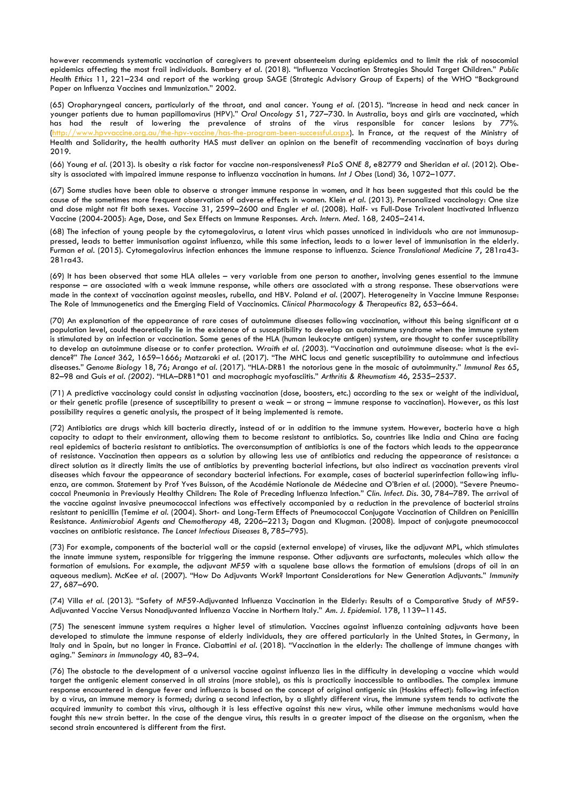however recommends systematic vaccination of caregivers to prevent absenteeism during epidemics and to limit the risk of nosocomial epidemics affecting the most frail individuals. Bambery *et al*. (2018). "Influenza Vaccination Strategies Should Target Children." *Public Health Ethics* 11, 221–234 and report of the working group SAGE (Strategic Advisory Group of Experts) of the WHO "Background Paper on Influenza Vaccines and Immunization." 2002.

(65) Oropharyngeal cancers, particularly of the throat, and anal cancer. Young *et al.* (2015). "Increase in head and neck cancer in younger patients due to human papillomavirus (HPV)." *Oral Oncology* 51, 727–730. In Australia, boys and girls are vaccinated, which has had the result of lowering the prevalence of strains of the virus responsible for cancer lesions by [\(http://www.hpvvaccine.org.au/the-hpv-vaccine/has-the-program-been-successful.aspx\)](http://www.hpvvaccine.org.au/the-hpv-vaccine/has-the-program-been-successful.aspx). In France, at the request of the Ministry of Health and Solidarity, the health authority HAS must deliver an opinion on the benefit of recommending vaccination of boys during 2019.

(66) Young *et al*. (2013). Is obesity a risk factor for vaccine non-responsiveness? *PLoS ONE 8*, e82779 and Sheridan *et al.* (2012). Obesity is associated with impaired immune response to influenza vaccination in humans. *Int J Obes* (Lond) 36, 1072–1077.

(67) Some studies have been able to observe a stronger immune response in women, and it has been suggested that this could be the cause of the sometimes more frequent observation of adverse effects in women. Klein *et al*. (2013). Personalized vaccinology: One size and dose might not fit both sexes. *Vaccine* 31, 2599–2600 and Engler *et al*. (2008). Half- vs Full-Dose Trivalent Inactivated Influenza Vaccine (2004-2005): Age, Dose, and Sex Effects on Immune Responses. *Arch. Intern. Med*. 168*,* 2405–2414.

(68) The infection of young people by the cytomegalovirus, a latent virus which passes unnoticed in individuals who are not immunosuppressed, leads to better immunisation against influenza, while this same infection, leads to a lower level of immunisation in the elderly. Furman *et al*. (2015). Cytomegalovirus infection enhances the immune response to influenza. *Science Translational Medicine* 7, 281ra43- 281ra43.

(69) It has been observed that some HLA alleles – very variable from one person to another, involving genes essential to the immune response – are associated with a weak immune response, while others are associated with a strong response. These observations were made in the context of vaccination against measles, rubella, and HBV. Poland *et al*. (2007). Heterogeneity in Vaccine Immune Response: The Role of Immunogenetics and the Emerging Field of Vaccinomics. *Clinical Pharmacology & Therapeutics* 82, 653–664.

(70) An explanation of the appearance of rare cases of autoimmune diseases following vaccination, without this being significant at a population level, could theoretically lie in the existence of a susceptibility to develop an autoimmune syndrome when the immune system is stimulated by an infection or vaccination. Some genes of the HLA (human leukocyte antigen) system, are thought to confer susceptibility to develop an autoimmune disease or to confer protection. *Wraith et al. (2003*). "Vaccination and autoimmune disease: what is the evidence?" *The Lancet* 362, 1659–1666; Matzaraki *et al*. (2017). "The MHC locus and genetic susceptibility to autoimmune and infectious diseases." *Genome Biology* 18, 76; Arango *et al*. (2017). "HLA-DRB1 the notorious gene in the mosaic of autoimmunity." *Immunol Res* 65, 82–98 and Guis *et al. (2002).* "HLA–DRB1\*01 and macrophagic myofasciitis." *Arthritis & Rheumatism* 46, 2535–2537.

(71) A predictive vaccinology could consist in adjusting vaccination (dose, boosters, etc.) according to the sex or weight of the individual, or their genetic profile (presence of susceptibility to present a weak – or strong – immune response to vaccination). However, as this last possibility requires a genetic analysis, the prospect of it being implemented is remote.

(72) Antibiotics are drugs which kill bacteria directly, instead of or in addition to the immune system. However, bacteria have a high capacity to adapt to their environment, allowing them to become resistant to antibiotics. So, countries like India and China are facing real epidemics of bacteria resistant to antibiotics. The overconsumption of antibiotics is one of the factors which leads to the appearance of resistance. Vaccination then appears as a solution by allowing less use of antibiotics and reducing the appearance of resistance: a direct solution as it directly limits the use of antibiotics by preventing bacterial infections, but also indirect as vaccination prevents viral diseases which favour the appearance of secondary bacterial infections. For example, cases of bacterial superinfection following influenza, are common. Statement by Prof Yves Buisson, of the Académie Nationale de Médecine and O'Brien *et al*. (2000). "Severe Pneumococcal Pneumonia in Previously Healthy Children: The Role of Preceding Influenza Infection." *Clin. Infect. Dis.* 30, 784–789. The arrival of the vaccine against invasive pneumococcal infections was effectively accompanied by a reduction in the prevalence of bacterial strains resistant to penicillin (Temime *et al*. (2004). Short- and Long-Term Effects of Pneumococcal Conjugate Vaccination of Children on Penicillin Resistance*. Antimicrobial Agents and Chemotherapy* 48, 2206–2213; Dagan and Klugman. (2008). Impact of conjugate pneumococcal vaccines on antibiotic resistance. *The Lancet Infectious Diseases* 8, 785–795).

(73) For example, components of the bacterial wall or the capsid (external envelope) of viruses, like the adjuvant MPL, which stimulates the innate immune system, responsible for triggering the immune response. Other adjuvants are surfactants, molecules which allow the formation of emulsions. For example, the adjuvant MF59 with a squalene base allows the formation of emulsions (drops of oil in an aqueous medium). McKee *et al.* (2007). "How Do Adjuvants Work? Important Considerations for New Generation Adjuvants." *Immunity*  27, 687–690.

(74) Villa *et al*. (2013). "Safety of MF59-Adjuvanted Influenza Vaccination in the Elderly: Results of a Comparative Study of MF59- Adjuvanted Vaccine Versus Nonadjuvanted Influenza Vaccine in Northern Italy." *Am. J. Epidemiol*. 178, 1139–1145.

(75) The senescent immune system requires a higher level of stimulation. Vaccines against influenza containing adjuvants have been developed to stimulate the immune response of elderly individuals, they are offered particularly in the United States, in Germany, in Italy and in Spain, but no longer in France. Ciabattini *et al*. (2018). "Vaccination in the elderly: The challenge of immune changes with aging." *Seminars in Immunology* 40, 83–94.

(76) The obstacle to the development of a universal vaccine against influenza lies in the difficulty in developing a vaccine which would target the antigenic element conserved in all strains (more stable), as this is practically inaccessible to antibodies. The complex immune response encountered in dengue fever and influenza is based on the concept of original antigenic sin (Hoskins effect): following infection by a virus, an immune memory is formed; during a second infection, by a slightly different virus, the immune system tends to activate the acquired immunity to combat this virus, although it is less effective against this new virus, while other immune mechanisms would have fought this new strain better. In the case of the dengue virus, this results in a greater impact of the disease on the organism, when the second strain encountered is different from the first.